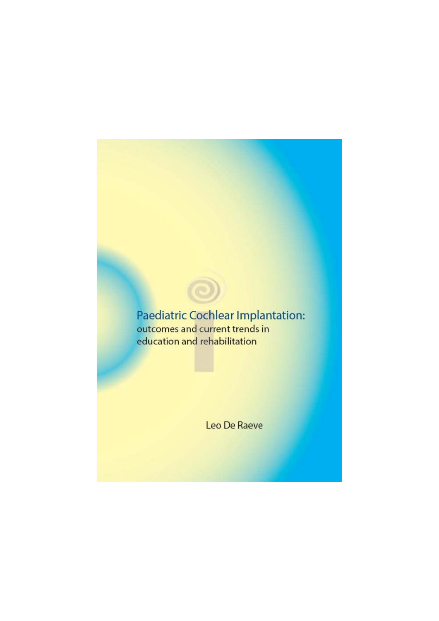# Paediatric Cochlear Implantation: outcomes and current trends in education and rehabilitation

Leo De Raeve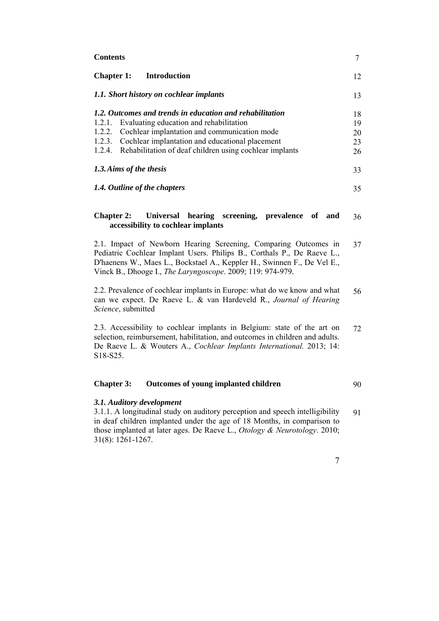| <b>Contents</b> |
|-----------------|
|-----------------|

| <b>Chapter 1:</b><br><b>Introduction</b>                                                                                                                                                                                                                                                                  | 12                         |  |
|-----------------------------------------------------------------------------------------------------------------------------------------------------------------------------------------------------------------------------------------------------------------------------------------------------------|----------------------------|--|
| 1.1. Short history on cochlear implants                                                                                                                                                                                                                                                                   |                            |  |
| 1.2. Outcomes and trends in education and rehabilitation<br>Evaluating education and rehabilitation<br>1.2.1.<br>Cochlear implantation and communication mode<br>1.2.2.<br>Cochlear implantation and educational placement<br>1.2.3.<br>Rehabilitation of deaf children using cochlear implants<br>1.2.4. | 18<br>19<br>20<br>23<br>26 |  |
| 1.3. Aims of the thesis                                                                                                                                                                                                                                                                                   |                            |  |
| 1.4. Outline of the chapters                                                                                                                                                                                                                                                                              |                            |  |
| Universal hearing screening, prevalence of and<br><b>Chapter 2:</b><br>accessibility to cochlear implants                                                                                                                                                                                                 | 36                         |  |
| 2.1. Impact of Newborn Hearing Screening, Comparing Outcomes in<br>Pediatric Cochlear Implant Users. Philips B., Corthals P., De Raeve L.,<br>D'haenens W., Maes L., Bockstael A., Keppler H., Swinnen F., De Vel E.,<br>Vinck B., Dhooge I., The Laryngoscope. 2009; 119: 974-979.                       |                            |  |
| 2.2. Prevalence of cochlear implants in Europe: what do we know and what<br>can we expect. De Raeve L. & van Hardeveld R., Journal of Hearing<br>Science, submitted                                                                                                                                       |                            |  |
| 2.3. Accessibility to cochlear implants in Belgium: state of the art on<br>selection, reimbursement, habilitation, and outcomes in children and adults.<br>De Raeve L. & Wouters A., Cochlear Implants International. 2013; 14:                                                                           |                            |  |

**Chapter 3: Outcomes of young implanted children**  90

## *3.1. Auditory development*

S18-S25.

3.1.1. A longitudinal study on auditory perception and speech intelligibility in deaf children implanted under the age of 18 Months, in comparison to those implanted at later ages. De Raeve L., *Otology & Neurotology*. 2010; 31(8): 1261-1267. 91

7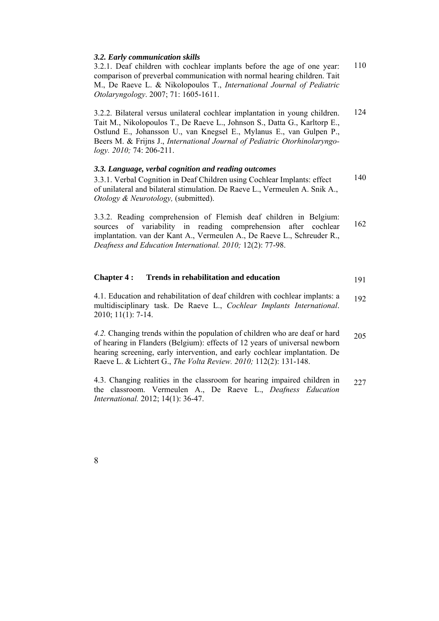| comparison of preverbal communication with normal hearing children. Tait<br>M., De Raeve L. & Nikolopoulos T., International Journal of Pediatric<br>Otolaryngology. 2007; 71: 1605-1611.                                                                                                                                                    |     |
|----------------------------------------------------------------------------------------------------------------------------------------------------------------------------------------------------------------------------------------------------------------------------------------------------------------------------------------------|-----|
| 3.2.2. Bilateral versus unilateral cochlear implantation in young children.<br>Tait M., Nikolopoulos T., De Raeve L., Johnson S., Datta G., Karltorp E.,<br>Ostlund E., Johansson U., van Knegsel E., Mylanus E., van Gulpen P.,<br>Beers M. & Frijns J., International Journal of Pediatric Otorhinolaryngo-<br>$logy$ . 2010; 74: 206-211. | 124 |
| 3.3. Language, verbal cognition and reading outcomes<br>3.3.1. Verbal Cognition in Deaf Children using Cochlear Implants: effect<br>of unilateral and bilateral stimulation. De Raeve L., Vermeulen A. Snik A.,<br>Otology & Neurotology, (submitted).                                                                                       | 140 |
| 3.3.2. Reading comprehension of Flemish deaf children in Belgium:<br>sources of variability in reading comprehension after cochlear<br>implantation. van der Kant A., Vermeulen A., De Raeve L., Schreuder R.,<br>Deafness and Education International. 2010; 12(2): 77-98.                                                                  | 162 |

| <b>Chapter 4:</b> | Trends in rehabilitation and education |  |
|-------------------|----------------------------------------|--|
|-------------------|----------------------------------------|--|

4.1. Education and rehabilitation of deaf children with cochlear implants: a multidisciplinary task. De Raeve L., *Cochlear Implants International*. 2010; 11(1): 7-14. 192

*4.2.* Changing trends within the population of children who are deaf or hard of hearing in Flanders (Belgium): effects of 12 years of universal newborn hearing screening, early intervention, and early cochlear implantation. De Raeve L. & Lichtert G., *The Volta Review. 2010;* 112(2): 131-148. 205

4.3. Changing realities in the classroom for hearing impaired children in the classroom. Vermeulen A., De Raeve L., *Deafness Education International.* 2012; 14(1): 36-47. 227

8

### *3.2. Early communication skills*

3.2.1. Deaf children with cochlear implants before the age of one year: comparison of preverbal communication with normal hearing children. Tait M., De Raeve L. & Nikolopoulos T., *International Journal of Pediatric*  110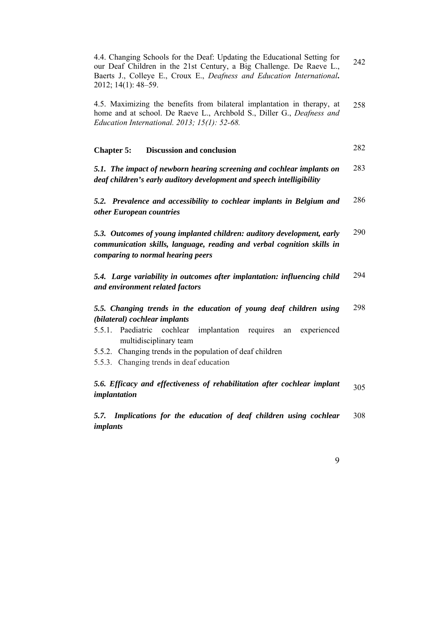4.4. Changing Schools for the Deaf: Updating the Educational Setting for our Deaf Children in the 21st Century, a Big Challenge. De Raeve L., Baerts J., Colleye E., Croux E., *Deafness and Education International***.**  2012; 14(1): 48–59. 242

4.5. Maximizing the benefits from bilateral implantation in therapy, at home and at school. De Raeve L., Archbold S., Diller G., *Deafness and Education International. 2013; 15(1): 52-68.*  258

#### **Chapter 5: Discussion and conclusion**  282

*5.1. The impact of newborn hearing screening and cochlear implants on deaf children's early auditory development and speech intelligibility*  283

*5.2. Prevalence and accessibility to cochlear implants in Belgium and other European countries*  286

*5.3. Outcomes of young implanted children: auditory development, early communication skills, language, reading and verbal cognition skills in comparing to normal hearing peers*  290

*5.4. Large variability in outcomes after implantation: influencing child and environment related factors*  294

*5.5. Changing trends in the education of young deaf children using (bilateral) cochlear implants*  298

- 5.5.1. Paediatric cochlear implantation requires an experienced multidisciplinary team
- 5.5.2. Changing trends in the population of deaf children
- 5.5.3. Changing trends in deaf education

#### *5.6. Efficacy and effectiveness of rehabilitation after cochlear implant implantation*  305

*5.7. Implications for the education of deaf children using cochlear implants*  308